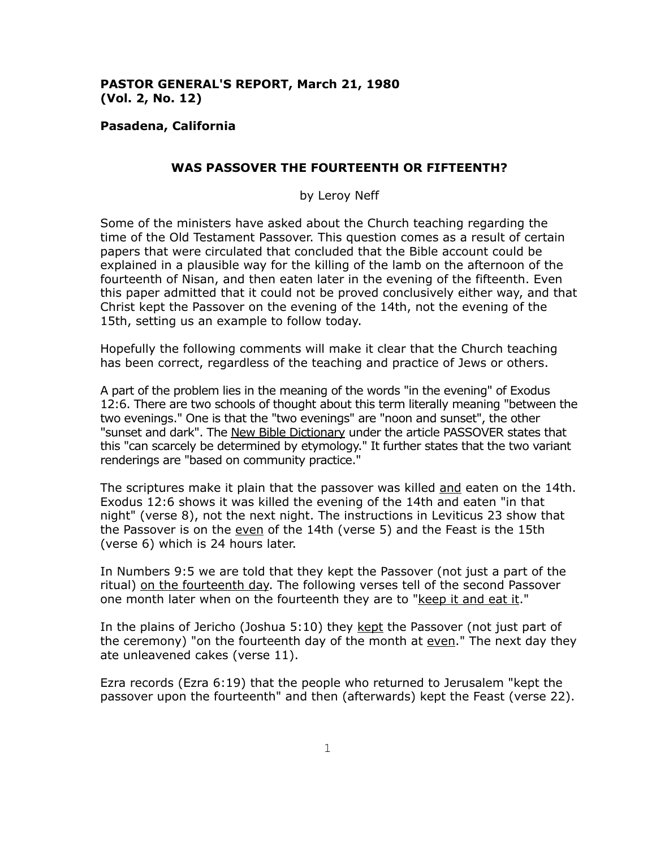# **PASTOR GENERAL'S REPORT, March 21, 1980 (Vol. 2, No. 12)**

### **Pasadena, California**

### **WAS PASSOVER THE FOURTEENTH OR FIFTEENTH?**

by Leroy Neff

Some of the ministers have asked about the Church teaching regarding the time of the Old Testament Passover. This question comes as a result of certain papers that were circulated that concluded that the Bible account could be explained in a plausible way for the killing of the lamb on the afternoon of the fourteenth of Nisan, and then eaten later in the evening of the fifteenth. Even this paper admitted that it could not be proved conclusively either way, and that Christ kept the Passover on the evening of the 14th, not the evening of the 15th, setting us an example to follow today.

Hopefully the following comments will make it clear that the Church teaching has been correct, regardless of the teaching and practice of Jews or others.

A part of the problem lies in the meaning of the words "in the evening" of Exodus 12:6. There are two schools of thought about this term literally meaning "between the two evenings." One is that the "two evenings" are "noon and sunset", the other "sunset and dark". The New Bible Dictionary under the article PASSOVER states that this "can scarcely be determined by etymology." It further states that the two variant renderings are "based on community practice."

The scriptures make it plain that the passover was killed and eaten on the 14th. Exodus 12:6 shows it was killed the evening of the 14th and eaten "in that night" (verse 8), not the next night. The instructions in Leviticus 23 show that the Passover is on the even of the 14th (verse 5) and the Feast is the 15th (verse 6) which is 24 hours later.

In Numbers 9:5 we are told that they kept the Passover (not just a part of the ritual) on the fourteenth day. The following verses tell of the second Passover one month later when on the fourteenth they are to "keep it and eat it."

In the plains of Jericho (Joshua 5:10) they kept the Passover (not just part of the ceremony) "on the fourteenth day of the month at even." The next day they ate unleavened cakes (verse 11).

Ezra records (Ezra 6:19) that the people who returned to Jerusalem "kept the passover upon the fourteenth" and then (afterwards) kept the Feast (verse 22).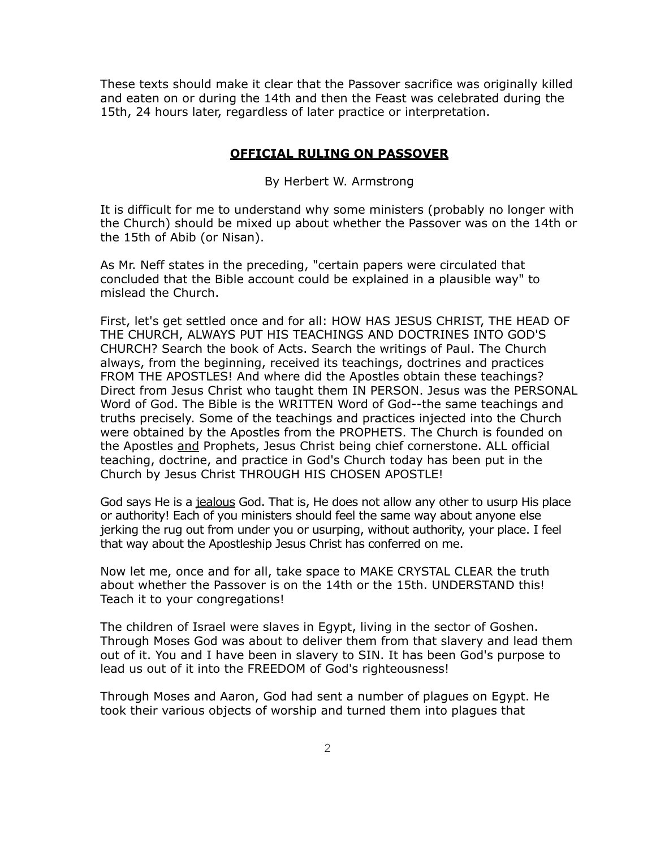These texts should make it clear that the Passover sacrifice was originally killed and eaten on or during the 14th and then the Feast was celebrated during the 15th, 24 hours later, regardless of later practice or interpretation.

### **OFFICIAL RULING ON PASSOVER**

By Herbert W. Armstrong

It is difficult for me to understand why some ministers (probably no longer with the Church) should be mixed up about whether the Passover was on the 14th or the 15th of Abib (or Nisan).

As Mr. Neff states in the preceding, "certain papers were circulated that concluded that the Bible account could be explained in a plausible way" to mislead the Church.

First, let's get settled once and for all: HOW HAS JESUS CHRIST, THE HEAD OF THE CHURCH, ALWAYS PUT HIS TEACHINGS AND DOCTRINES INTO GOD'S CHURCH? Search the book of Acts. Search the writings of Paul. The Church always, from the beginning, received its teachings, doctrines and practices FROM THE APOSTLES! And where did the Apostles obtain these teachings? Direct from Jesus Christ who taught them IN PERSON. Jesus was the PERSONAL Word of God. The Bible is the WRITTEN Word of God--the same teachings and truths precisely. Some of the teachings and practices injected into the Church were obtained by the Apostles from the PROPHETS. The Church is founded on the Apostles and Prophets, Jesus Christ being chief cornerstone. ALL official teaching, doctrine, and practice in God's Church today has been put in the Church by Jesus Christ THROUGH HIS CHOSEN APOSTLE!

God says He is a jealous God. That is, He does not allow any other to usurp His place or authority! Each of you ministers should feel the same way about anyone else jerking the rug out from under you or usurping, without authority, your place. I feel that way about the Apostleship Jesus Christ has conferred on me.

Now let me, once and for all, take space to MAKE CRYSTAL CLEAR the truth about whether the Passover is on the 14th or the 15th. UNDERSTAND this! Teach it to your congregations!

The children of Israel were slaves in Egypt, living in the sector of Goshen. Through Moses God was about to deliver them from that slavery and lead them out of it. You and I have been in slavery to SIN. It has been God's purpose to lead us out of it into the FREEDOM of God's righteousness!

Through Moses and Aaron, God had sent a number of plagues on Egypt. He took their various objects of worship and turned them into plagues that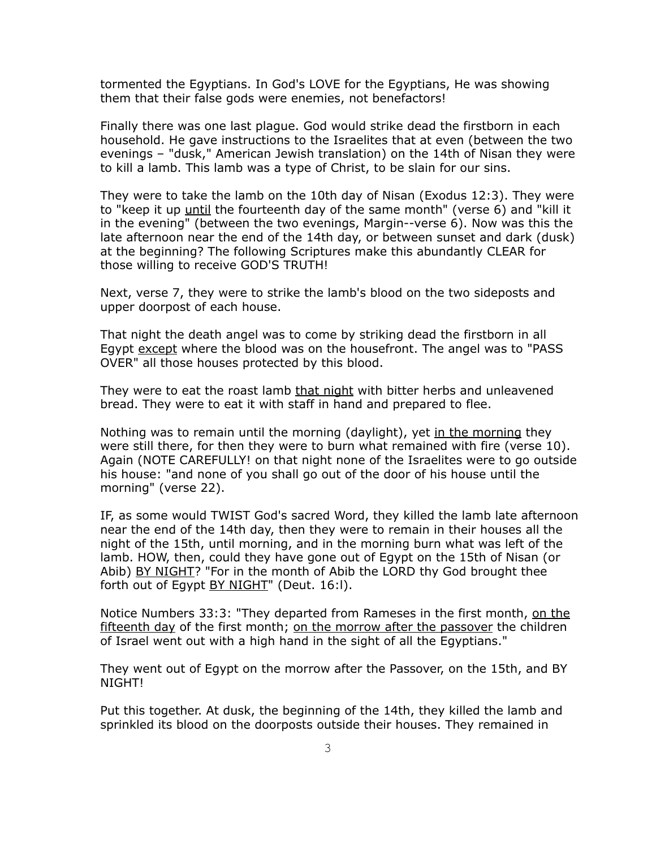tormented the Egyptians. In God's LOVE for the Egyptians, He was showing them that their false gods were enemies, not benefactors!

Finally there was one last plague. God would strike dead the firstborn in each household. He gave instructions to the Israelites that at even (between the two evenings – "dusk," American Jewish translation) on the 14th of Nisan they were to kill a lamb. This lamb was a type of Christ, to be slain for our sins.

They were to take the lamb on the 10th day of Nisan (Exodus 12:3). They were to "keep it up until the fourteenth day of the same month" (verse 6) and "kill it in the evening" (between the two evenings, Margin--verse 6). Now was this the late afternoon near the end of the 14th day, or between sunset and dark (dusk) at the beginning? The following Scriptures make this abundantly CLEAR for those willing to receive GOD'S TRUTH!

Next, verse 7, they were to strike the lamb's blood on the two sideposts and upper doorpost of each house.

That night the death angel was to come by striking dead the firstborn in all Egypt except where the blood was on the housefront. The angel was to "PASS OVER" all those houses protected by this blood.

They were to eat the roast lamb that night with bitter herbs and unleavened bread. They were to eat it with staff in hand and prepared to flee.

Nothing was to remain until the morning (daylight), yet in the morning they were still there, for then they were to burn what remained with fire (verse 10). Again (NOTE CAREFULLY! on that night none of the Israelites were to go outside his house: "and none of you shall go out of the door of his house until the morning" (verse 22).

IF, as some would TWIST God's sacred Word, they killed the lamb late afternoon near the end of the 14th day, then they were to remain in their houses all the night of the 15th, until morning, and in the morning burn what was left of the lamb. HOW, then, could they have gone out of Egypt on the 15th of Nisan (or Abib) BY NIGHT? "For in the month of Abib the LORD thy God brought thee forth out of Egypt BY NIGHT" (Deut. 16:1).

Notice Numbers 33:3: "They departed from Rameses in the first month, on the fifteenth day of the first month; on the morrow after the passover the children of Israel went out with a high hand in the sight of all the Egyptians."

They went out of Egypt on the morrow after the Passover, on the 15th, and BY NIGHT!

Put this together. At dusk, the beginning of the 14th, they killed the lamb and sprinkled its blood on the doorposts outside their houses. They remained in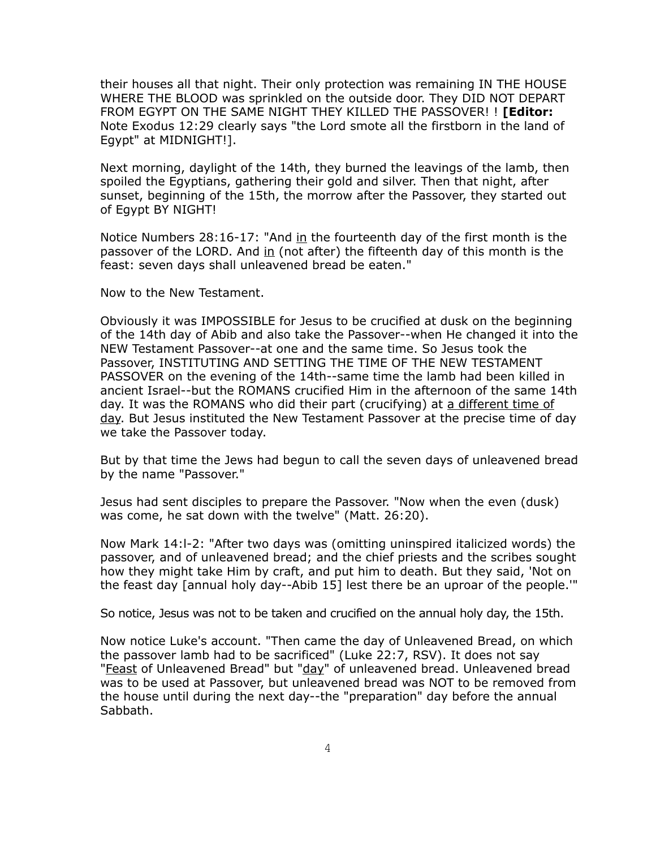their houses all that night. Their only protection was remaining IN THE HOUSE WHERE THE BLOOD was sprinkled on the outside door. They DID NOT DEPART FROM EGYPT ON THE SAME NIGHT THEY KILLED THE PASSOVER! ! **[Editor:** Note Exodus 12:29 clearly says "the Lord smote all the firstborn in the land of Egypt" at MIDNIGHT!].

Next morning, daylight of the 14th, they burned the leavings of the lamb, then spoiled the Egyptians, gathering their gold and silver. Then that night, after sunset, beginning of the 15th, the morrow after the Passover, they started out of Egypt BY NIGHT!

Notice Numbers  $28:16-17$ : "And in the fourteenth day of the first month is the passover of the LORD. And  $\overline{in}$  (not after) the fifteenth day of this month is the feast: seven days shall unleavened bread be eaten."

Now to the New Testament.

Obviously it was IMPOSSIBLE for Jesus to be crucified at dusk on the beginning of the 14th day of Abib and also take the Passover--when He changed it into the NEW Testament Passover--at one and the same time. So Jesus took the Passover, INSTITUTING AND SETTING THE TIME OF THE NEW TESTAMENT PASSOVER on the evening of the 14th--same time the lamb had been killed in ancient Israel--but the ROMANS crucified Him in the afternoon of the same 14th day. It was the ROMANS who did their part (crucifying) at a different time of day. But Jesus instituted the New Testament Passover at the precise time of day we take the Passover today.

But by that time the Jews had begun to call the seven days of unleavened bread by the name "Passover."

Jesus had sent disciples to prepare the Passover. "Now when the even (dusk) was come, he sat down with the twelve" (Matt. 26:20).

Now Mark 14:l-2: "After two days was (omitting uninspired italicized words) the passover, and of unleavened bread; and the chief priests and the scribes sought how they might take Him by craft, and put him to death. But they said, 'Not on the feast day [annual holy day--Abib 15] lest there be an uproar of the people.'"

So notice, Jesus was not to be taken and crucified on the annual holy day, the 15th.

Now notice Luke's account. "Then came the day of Unleavened Bread, on which the passover lamb had to be sacrificed" (Luke 22:7, RSV). It does not say "Feast of Unleavened Bread" but "day" of unleavened bread. Unleavened bread was to be used at Passover, but unleavened bread was NOT to be removed from the house until during the next day--the "preparation" day before the annual Sabbath.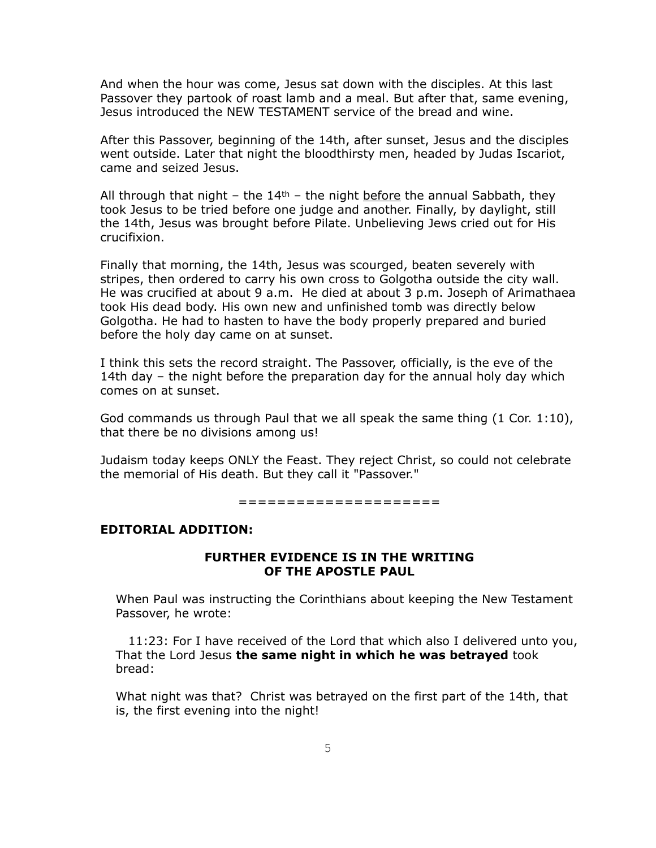And when the hour was come, Jesus sat down with the disciples. At this last Passover they partook of roast lamb and a meal. But after that, same evening, Jesus introduced the NEW TESTAMENT service of the bread and wine.

After this Passover, beginning of the 14th, after sunset, Jesus and the disciples went outside. Later that night the bloodthirsty men, headed by Judas Iscariot, came and seized Jesus.

All through that night – the  $14<sup>th</sup>$  – the night before the annual Sabbath, they took Jesus to be tried before one judge and another. Finally, by daylight, still the 14th, Jesus was brought before Pilate. Unbelieving Jews cried out for His crucifixion.

Finally that morning, the 14th, Jesus was scourged, beaten severely with stripes, then ordered to carry his own cross to Golgotha outside the city wall. He was crucified at about 9 a.m. He died at about 3 p.m. Joseph of Arimathaea took His dead body. His own new and unfinished tomb was directly below Golgotha. He had to hasten to have the body properly prepared and buried before the holy day came on at sunset.

I think this sets the record straight. The Passover, officially, is the eve of the 14th day – the night before the preparation day for the annual holy day which comes on at sunset.

God commands us through Paul that we all speak the same thing (1 Cor. 1:10), that there be no divisions among us!

Judaism today keeps ONLY the Feast. They reject Christ, so could not celebrate the memorial of His death. But they call it "Passover."

=====================

# **EDITORIAL ADDITION:**

### **FURTHER EVIDENCE IS IN THE WRITING OF THE APOSTLE PAUL**

When Paul was instructing the Corinthians about keeping the New Testament Passover, he wrote:

 11:23: For I have received of the Lord that which also I delivered unto you, That the Lord Jesus **the same night in which he was betrayed** took bread:

What night was that? Christ was betrayed on the first part of the 14th, that is, the first evening into the night!